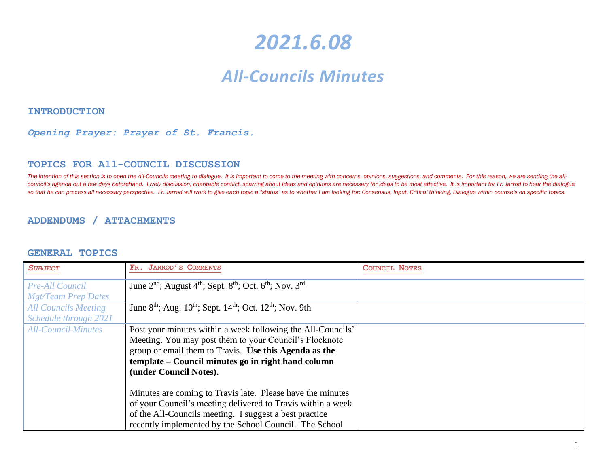# *2021.6.08*

# *All-Councils Minutes*

#### **INTRODUCTION**

#### *Opening Prayer: Prayer of St. Francis.*

#### **TOPICS FOR All-COUNCIL DISCUSSION**

The intention of this section is to open the All-Councils meeting to dialogue. It is important to come to the meeting with concerns, opinions, suggestions, and comments. For this reason, we are sending the allcouncil's agenda out a few days beforehand. Lively discussion, charitable conflict, sparring about ideas and opinions are necessary for ideas to be most effective. It is important for Fr. Jarrod to hear the dialogue so that he can process all necessary perspective. Fr. Jarrod will work to give each topic a "status" as to whether I am looking for: Consensus, Input, Critical thinking, Dialogue within counsels on specific topics.

#### **ADDENDUMS / ATTACHMENTS**

#### **GENERAL TOPICS**

| <b>SUBJECT</b>              | FR. JARROD'S COMMENTS                                                                                               | <b>COUNCIL NOTES</b> |
|-----------------------------|---------------------------------------------------------------------------------------------------------------------|----------------------|
| <b>Pre-All Council</b>      | June 2 <sup>nd</sup> ; August 4 <sup>th</sup> ; Sept. 8 <sup>th</sup> ; Oct. 6 <sup>th</sup> ; Nov. 3 <sup>rd</sup> |                      |
| <b>Mgt/Team Prep Dates</b>  |                                                                                                                     |                      |
| <b>All Councils Meeting</b> | June $8^{th}$ ; Aug. $10^{th}$ ; Sept. $14^{th}$ ; Oct. $12^{th}$ ; Nov. 9th                                        |                      |
| Schedule through 2021       |                                                                                                                     |                      |
| <b>All-Council Minutes</b>  | Post your minutes within a week following the All-Councils'                                                         |                      |
|                             | Meeting. You may post them to your Council's Flocknote                                                              |                      |
|                             | group or email them to Travis. Use this Agenda as the                                                               |                      |
|                             | template – Council minutes go in right hand column                                                                  |                      |
|                             | (under Council Notes).                                                                                              |                      |
|                             |                                                                                                                     |                      |
|                             | Minutes are coming to Travis late. Please have the minutes                                                          |                      |
|                             | of your Council's meeting delivered to Travis within a week                                                         |                      |
|                             | of the All-Councils meeting. I suggest a best practice                                                              |                      |
|                             | recently implemented by the School Council. The School                                                              |                      |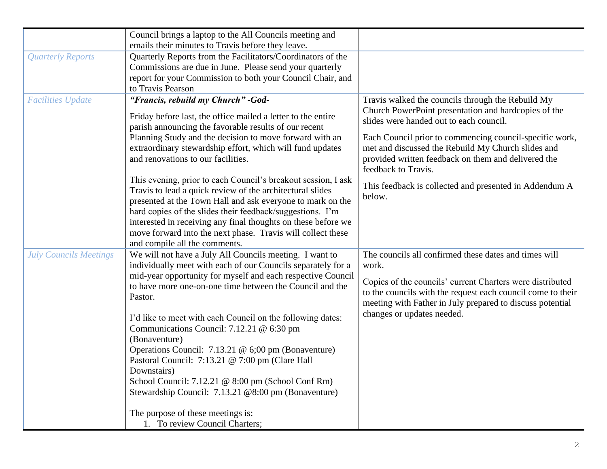|                               | Council brings a laptop to the All Councils meeting and                                                                                                                                                                                                                                                                                                                                                                                                                                                                                                                                                                                                              |                                                                                                                                                                                                                                                                                       |
|-------------------------------|----------------------------------------------------------------------------------------------------------------------------------------------------------------------------------------------------------------------------------------------------------------------------------------------------------------------------------------------------------------------------------------------------------------------------------------------------------------------------------------------------------------------------------------------------------------------------------------------------------------------------------------------------------------------|---------------------------------------------------------------------------------------------------------------------------------------------------------------------------------------------------------------------------------------------------------------------------------------|
|                               | emails their minutes to Travis before they leave.                                                                                                                                                                                                                                                                                                                                                                                                                                                                                                                                                                                                                    |                                                                                                                                                                                                                                                                                       |
| <b>Quarterly Reports</b>      | Quarterly Reports from the Facilitators/Coordinators of the                                                                                                                                                                                                                                                                                                                                                                                                                                                                                                                                                                                                          |                                                                                                                                                                                                                                                                                       |
|                               | Commissions are due in June. Please send your quarterly                                                                                                                                                                                                                                                                                                                                                                                                                                                                                                                                                                                                              |                                                                                                                                                                                                                                                                                       |
|                               | report for your Commission to both your Council Chair, and                                                                                                                                                                                                                                                                                                                                                                                                                                                                                                                                                                                                           |                                                                                                                                                                                                                                                                                       |
|                               | to Travis Pearson                                                                                                                                                                                                                                                                                                                                                                                                                                                                                                                                                                                                                                                    |                                                                                                                                                                                                                                                                                       |
| <b>Facilities Update</b>      | "Francis, rebuild my Church" - God-<br>Friday before last, the office mailed a letter to the entire<br>parish announcing the favorable results of our recent<br>Planning Study and the decision to move forward with an<br>extraordinary stewardship effort, which will fund updates                                                                                                                                                                                                                                                                                                                                                                                 | Travis walked the councils through the Rebuild My<br>Church PowerPoint presentation and hardcopies of the<br>slides were handed out to each council.<br>Each Council prior to commencing council-specific work,<br>met and discussed the Rebuild My Church slides and                 |
|                               | and renovations to our facilities.                                                                                                                                                                                                                                                                                                                                                                                                                                                                                                                                                                                                                                   | provided written feedback on them and delivered the<br>feedback to Travis.                                                                                                                                                                                                            |
|                               | This evening, prior to each Council's breakout session, I ask<br>Travis to lead a quick review of the architectural slides<br>presented at the Town Hall and ask everyone to mark on the<br>hard copies of the slides their feedback/suggestions. I'm<br>interested in receiving any final thoughts on these before we<br>move forward into the next phase. Travis will collect these<br>and compile all the comments.                                                                                                                                                                                                                                               | This feedback is collected and presented in Addendum A<br>below.                                                                                                                                                                                                                      |
| <b>July Councils Meetings</b> | We will not have a July All Councils meeting. I want to<br>individually meet with each of our Councils separately for a<br>mid-year opportunity for myself and each respective Council<br>to have more one-on-one time between the Council and the<br>Pastor.<br>I'd like to meet with each Council on the following dates:<br>Communications Council: 7.12.21 @ 6:30 pm<br>(Bonaventure)<br>Operations Council: 7.13.21 @ 6;00 pm (Bonaventure)<br>Pastoral Council: 7:13.21 @ 7:00 pm (Clare Hall<br>Downstairs)<br>School Council: 7.12.21 @ 8:00 pm (School Conf Rm)<br>Stewardship Council: 7.13.21 @8:00 pm (Bonaventure)<br>The purpose of these meetings is: | The councils all confirmed these dates and times will<br>work.<br>Copies of the councils' current Charters were distributed<br>to the councils with the request each council come to their<br>meeting with Father in July prepared to discuss potential<br>changes or updates needed. |
|                               | 1. To review Council Charters;                                                                                                                                                                                                                                                                                                                                                                                                                                                                                                                                                                                                                                       |                                                                                                                                                                                                                                                                                       |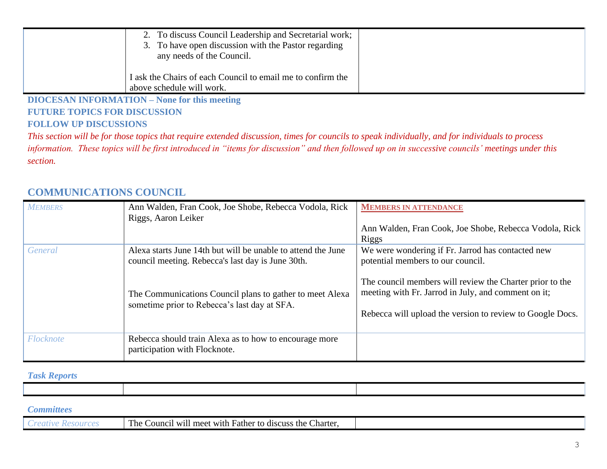| 2. To discuss Council Leadership and Secretarial work;<br>3. To have open discussion with the Pastor regarding<br>any needs of the Council. |  |
|---------------------------------------------------------------------------------------------------------------------------------------------|--|
| I ask the Chairs of each Council to email me to confirm the<br>above schedule will work.                                                    |  |

**DIOCESAN INFORMATION – None for this meeting FUTURE TOPICS FOR DISCUSSION FOLLOW UP DISCUSSIONS** 

*This section will be for those topics that require extended discussion, times for councils to speak individually, and for individuals to process information. These topics will be first introduced in "items for discussion" and then followed up on in successive councils' meetings under this section.*

| <b>MEMBERS</b> | Ann Walden, Fran Cook, Joe Shobe, Rebecca Vodola, Rick<br>Riggs, Aaron Leiker                                                                                                                                                 | <b>MEMBERS IN ATTENDANCE</b><br>Ann Walden, Fran Cook, Joe Shobe, Rebecca Vodola, Rick<br><b>Riggs</b>                                                                                                                                                                 |
|----------------|-------------------------------------------------------------------------------------------------------------------------------------------------------------------------------------------------------------------------------|------------------------------------------------------------------------------------------------------------------------------------------------------------------------------------------------------------------------------------------------------------------------|
| General        | Alexa starts June 14th but will be unable to attend the June<br>council meeting. Rebecca's last day is June 30th.<br>The Communications Council plans to gather to meet Alexa<br>sometime prior to Rebecca's last day at SFA. | We were wondering if Fr. Jarrod has contacted new<br>potential members to our council.<br>The council members will review the Charter prior to the<br>meeting with Fr. Jarrod in July, and comment on it;<br>Rebecca will upload the version to review to Google Docs. |
| Flocknote      | Rebecca should train Alexa as to how to encourage more<br>participation with Flocknote.                                                                                                                                       |                                                                                                                                                                                                                                                                        |

# **COMMUNICATIONS COUNCIL**

#### *Task Reports*

| . |  |
|---|--|

| m<br>Father to discuss<br>Charter<br>. he<br>meet with<br>the<br>$\sim$ ounci $\sim$<br>-W1ll |  |
|-----------------------------------------------------------------------------------------------|--|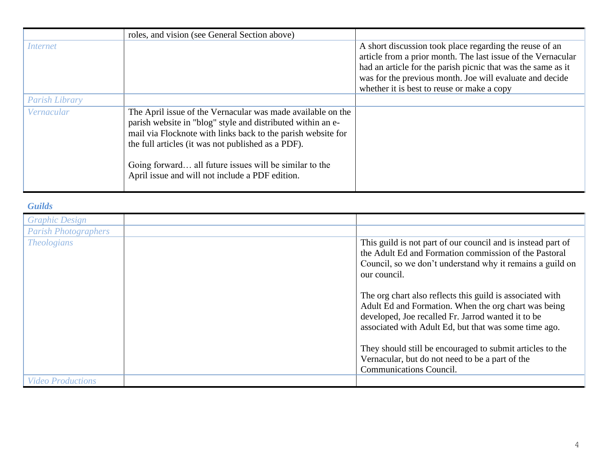|                | roles, and vision (see General Section above)                                                                                                                                                                                                                                                                                                                 |                                                                                                                                                                                                                                                                                                   |
|----------------|---------------------------------------------------------------------------------------------------------------------------------------------------------------------------------------------------------------------------------------------------------------------------------------------------------------------------------------------------------------|---------------------------------------------------------------------------------------------------------------------------------------------------------------------------------------------------------------------------------------------------------------------------------------------------|
| Internet       |                                                                                                                                                                                                                                                                                                                                                               | A short discussion took place regarding the reuse of an<br>article from a prior month. The last issue of the Vernacular<br>had an article for the parish picnic that was the same as it<br>was for the previous month. Joe will evaluate and decide<br>whether it is best to reuse or make a copy |
| Parish Library |                                                                                                                                                                                                                                                                                                                                                               |                                                                                                                                                                                                                                                                                                   |
| Vernacular     | The April issue of the Vernacular was made available on the<br>parish website in "blog" style and distributed within an e-<br>mail via Flocknote with links back to the parish website for<br>the full articles (it was not published as a PDF).<br>Going forward all future issues will be similar to the<br>April issue and will not include a PDF edition. |                                                                                                                                                                                                                                                                                                   |

# *Guilds*

| <b>Graphic Design</b>       |                                                                                                                                                                                                                                  |
|-----------------------------|----------------------------------------------------------------------------------------------------------------------------------------------------------------------------------------------------------------------------------|
| <b>Parish Photographers</b> |                                                                                                                                                                                                                                  |
| <b>Theologians</b>          | This guild is not part of our council and is instead part of<br>the Adult Ed and Formation commission of the Pastoral<br>Council, so we don't understand why it remains a guild on<br>our council.                               |
|                             | The org chart also reflects this guild is associated with<br>Adult Ed and Formation. When the org chart was being<br>developed, Joe recalled Fr. Jarrod wanted it to be<br>associated with Adult Ed, but that was some time ago. |
|                             | They should still be encouraged to submit articles to the<br>Vernacular, but do not need to be a part of the<br><b>Communications Council.</b>                                                                                   |
| <b>Video Productions</b>    |                                                                                                                                                                                                                                  |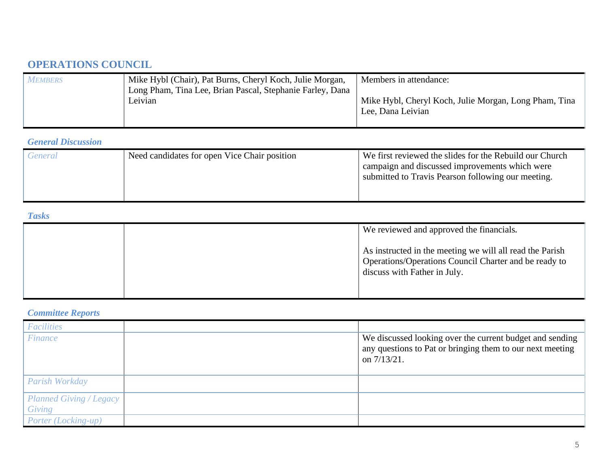# **OPERATIONS COUNCIL**

| <b>MEMBERS</b> | Mike Hybl (Chair), Pat Burns, Cheryl Koch, Julie Morgan,  | Members in attendance:                                |
|----------------|-----------------------------------------------------------|-------------------------------------------------------|
|                | Long Pham, Tina Lee, Brian Pascal, Stephanie Farley, Dana |                                                       |
|                | Leivian                                                   | Mike Hybl, Cheryl Koch, Julie Morgan, Long Pham, Tina |
|                |                                                           | Lee, Dana Leivian                                     |
|                |                                                           |                                                       |

### *General Discussion*

| General | Need candidates for open Vice Chair position | We first reviewed the slides for the Rebuild our Church<br>campaign and discussed improvements which were<br>submitted to Travis Pearson following our meeting. |
|---------|----------------------------------------------|-----------------------------------------------------------------------------------------------------------------------------------------------------------------|
|         |                                              |                                                                                                                                                                 |

#### *Tasks*

|  | We reviewed and approved the financials.                                                                                                          |
|--|---------------------------------------------------------------------------------------------------------------------------------------------------|
|  | As instructed in the meeting we will all read the Parish<br>Operations/Operations Council Charter and be ready to<br>discuss with Father in July. |

# *Committee Reports*

| <b>Facilities</b>                        |                                                                                                                                         |
|------------------------------------------|-----------------------------------------------------------------------------------------------------------------------------------------|
| <b>Finance</b>                           | We discussed looking over the current budget and sending<br>any questions to Pat or bringing them to our next meeting<br>on $7/13/21$ . |
| Parish Workday                           |                                                                                                                                         |
| <b>Planned Giving / Legacy</b><br>Giving |                                                                                                                                         |
| Porter (Locking-up)                      |                                                                                                                                         |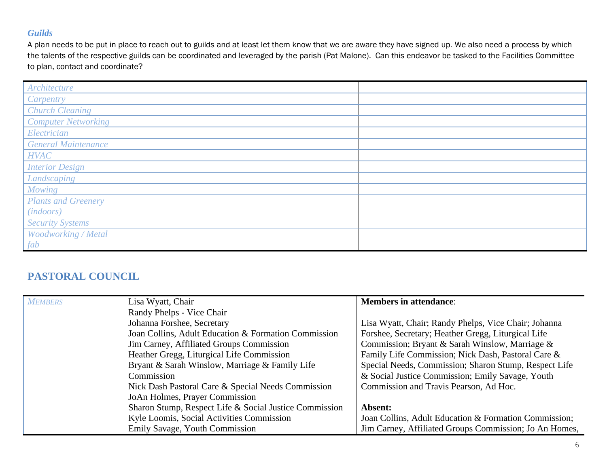### *Guilds*

A plan needs to be put in place to reach out to guilds and at least let them know that we are aware they have signed up. We also need a process by which the talents of the respective guilds can be coordinated and leveraged by the parish (Pat Malone). Can this endeavor be tasked to the Facilities Committee to plan, contact and coordinate?

| Architecture               |  |
|----------------------------|--|
| Carpentry                  |  |
| <b>Church Cleaning</b>     |  |
| <b>Computer Networking</b> |  |
| Electrician                |  |
| <b>General Maintenance</b> |  |
| <b>HVAC</b>                |  |
| <b>Interior Design</b>     |  |
| Landscaping                |  |
| Mowing                     |  |
| <b>Plants and Greenery</b> |  |
| (in doors)                 |  |
| <b>Security Systems</b>    |  |
| Woodworking / Metal        |  |
| fab                        |  |

# **PASTORAL COUNCIL**

| <b>MEMBERS</b> | Lisa Wyatt, Chair                                      | <b>Members in attendance:</b>                          |
|----------------|--------------------------------------------------------|--------------------------------------------------------|
|                | Randy Phelps - Vice Chair                              |                                                        |
|                | Johanna Forshee, Secretary                             | Lisa Wyatt, Chair; Randy Phelps, Vice Chair; Johanna   |
|                | Joan Collins, Adult Education & Formation Commission   | Forshee, Secretary; Heather Gregg, Liturgical Life     |
|                | Jim Carney, Affiliated Groups Commission               | Commission; Bryant & Sarah Winslow, Marriage &         |
|                | Heather Gregg, Liturgical Life Commission              | Family Life Commission; Nick Dash, Pastoral Care &     |
|                | Bryant & Sarah Winslow, Marriage & Family Life         | Special Needs, Commission; Sharon Stump, Respect Life  |
|                | Commission                                             | & Social Justice Commission; Emily Savage, Youth       |
|                | Nick Dash Pastoral Care & Special Needs Commission     | Commission and Travis Pearson, Ad Hoc.                 |
|                | JoAn Holmes, Prayer Commission                         |                                                        |
|                | Sharon Stump, Respect Life & Social Justice Commission | Absent:                                                |
|                | Kyle Loomis, Social Activities Commission              | Joan Collins, Adult Education & Formation Commission;  |
|                | Emily Savage, Youth Commission                         | Jim Carney, Affiliated Groups Commission; Jo An Homes, |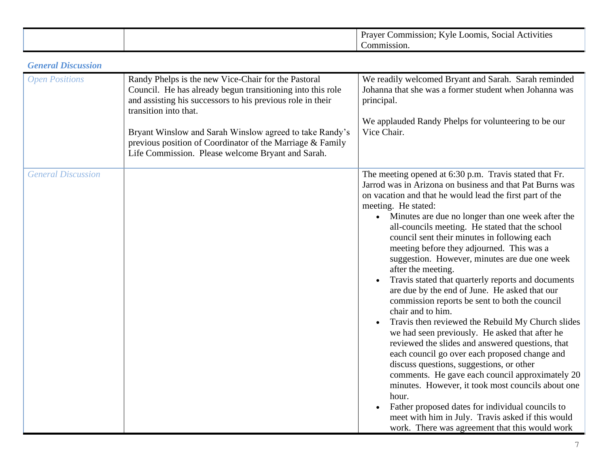|  | .ommission<br>oom18.<br>Activities<br>social<br>raver<br>vie |
|--|--------------------------------------------------------------|
|  | `ommission.                                                  |

## *General Discussion*

| <b>Open Positions</b>     | Randy Phelps is the new Vice-Chair for the Pastoral<br>Council. He has already begun transitioning into this role<br>and assisting his successors to his previous role in their<br>transition into that.<br>Bryant Winslow and Sarah Winslow agreed to take Randy's<br>previous position of Coordinator of the Marriage & Family<br>Life Commission. Please welcome Bryant and Sarah. | We readily welcomed Bryant and Sarah. Sarah reminded<br>Johanna that she was a former student when Johanna was<br>principal.<br>We applauded Randy Phelps for volunteering to be our<br>Vice Chair.                                                                                                                                                                                                                                                                                                                                                                                                                                                                                                                                                                                                                                                                                                                                                                                                                                                                                                                                                                                                   |
|---------------------------|---------------------------------------------------------------------------------------------------------------------------------------------------------------------------------------------------------------------------------------------------------------------------------------------------------------------------------------------------------------------------------------|-------------------------------------------------------------------------------------------------------------------------------------------------------------------------------------------------------------------------------------------------------------------------------------------------------------------------------------------------------------------------------------------------------------------------------------------------------------------------------------------------------------------------------------------------------------------------------------------------------------------------------------------------------------------------------------------------------------------------------------------------------------------------------------------------------------------------------------------------------------------------------------------------------------------------------------------------------------------------------------------------------------------------------------------------------------------------------------------------------------------------------------------------------------------------------------------------------|
| <b>General Discussion</b> |                                                                                                                                                                                                                                                                                                                                                                                       | The meeting opened at 6:30 p.m. Travis stated that Fr.<br>Jarrod was in Arizona on business and that Pat Burns was<br>on vacation and that he would lead the first part of the<br>meeting. He stated:<br>• Minutes are due no longer than one week after the<br>all-councils meeting. He stated that the school<br>council sent their minutes in following each<br>meeting before they adjourned. This was a<br>suggestion. However, minutes are due one week<br>after the meeting.<br>Travis stated that quarterly reports and documents<br>are due by the end of June. He asked that our<br>commission reports be sent to both the council<br>chair and to him.<br>Travis then reviewed the Rebuild My Church slides<br>we had seen previously. He asked that after he<br>reviewed the slides and answered questions, that<br>each council go over each proposed change and<br>discuss questions, suggestions, or other<br>comments. He gave each council approximately 20<br>minutes. However, it took most councils about one<br>hour.<br>Father proposed dates for individual councils to<br>meet with him in July. Travis asked if this would<br>work. There was agreement that this would work |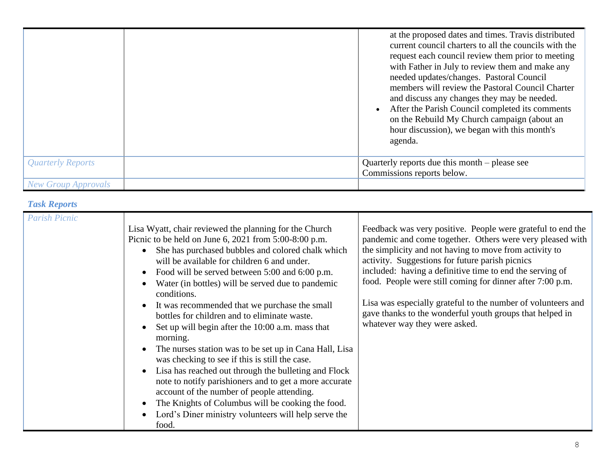|                            | at the proposed dates and times. Travis distributed<br>current council charters to all the councils with the<br>request each council review them prior to meeting<br>with Father in July to review them and make any<br>needed updates/changes. Pastoral Council<br>members will review the Pastoral Council Charter<br>and discuss any changes they may be needed.<br>After the Parish Council completed its comments<br>on the Rebuild My Church campaign (about an<br>hour discussion), we began with this month's<br>agenda. |
|----------------------------|----------------------------------------------------------------------------------------------------------------------------------------------------------------------------------------------------------------------------------------------------------------------------------------------------------------------------------------------------------------------------------------------------------------------------------------------------------------------------------------------------------------------------------|
| Quarterly Reports          | Quarterly reports due this month – please see<br>Commissions reports below.                                                                                                                                                                                                                                                                                                                                                                                                                                                      |
| <b>New Group Approvals</b> |                                                                                                                                                                                                                                                                                                                                                                                                                                                                                                                                  |

# *Task Reports*

| <b>Parish Picnic</b>                                                                                                                                                                                                                                                                                                                                                                                                                                                                                                                                                                                                                                                                                                                                                                                                                                                                                         |                                                                                                                                                                                                                                                                                                                                                                                                                                                                                                                             |
|--------------------------------------------------------------------------------------------------------------------------------------------------------------------------------------------------------------------------------------------------------------------------------------------------------------------------------------------------------------------------------------------------------------------------------------------------------------------------------------------------------------------------------------------------------------------------------------------------------------------------------------------------------------------------------------------------------------------------------------------------------------------------------------------------------------------------------------------------------------------------------------------------------------|-----------------------------------------------------------------------------------------------------------------------------------------------------------------------------------------------------------------------------------------------------------------------------------------------------------------------------------------------------------------------------------------------------------------------------------------------------------------------------------------------------------------------------|
| Lisa Wyatt, chair reviewed the planning for the Church<br>Picnic to be held on June 6, 2021 from 5:00-8:00 p.m.<br>She has purchased bubbles and colored chalk which<br>will be available for children 6 and under.<br>Food will be served between 5:00 and 6:00 p.m.<br>Water (in bottles) will be served due to pandemic<br>conditions.<br>It was recommended that we purchase the small<br>bottles for children and to eliminate waste.<br>Set up will begin after the 10:00 a.m. mass that<br>morning.<br>The nurses station was to be set up in Cana Hall, Lisa<br>was checking to see if this is still the case.<br>Lisa has reached out through the bulleting and Flock<br>note to notify parishioners and to get a more accurate<br>account of the number of people attending.<br>The Knights of Columbus will be cooking the food.<br>Lord's Diner ministry volunteers will help serve the<br>food. | Feedback was very positive. People were grateful to end the<br>pandemic and come together. Others were very pleased with<br>the simplicity and not having to move from activity to<br>activity. Suggestions for future parish picnics<br>included: having a definitive time to end the serving of<br>food. People were still coming for dinner after 7:00 p.m.<br>Lisa was especially grateful to the number of volunteers and<br>gave thanks to the wonderful youth groups that helped in<br>whatever way they were asked. |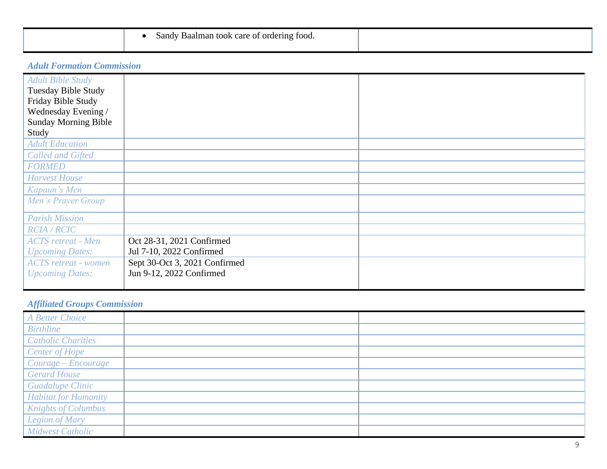| man<br>sand<br><sup>-</sup> ordering<br>Baair<br>⊿ <del>v</del><br>care<br>TOOK<br>* 100a.<br>ור^ י |  |
|-----------------------------------------------------------------------------------------------------|--|
|                                                                                                     |  |

# *Adult Formation Commission*

| <b>Adult Bible Study</b><br>Tuesday Bible Study |                               |  |
|-------------------------------------------------|-------------------------------|--|
| Friday Bible Study<br>Wednesday Evening /       |                               |  |
| <b>Sunday Morning Bible</b>                     |                               |  |
| Study                                           |                               |  |
| <b>Adult Education</b>                          |                               |  |
| <b>Called and Gifted</b>                        |                               |  |
| <b>FORMED</b>                                   |                               |  |
| <b>Harvest House</b>                            |                               |  |
| Kapaun's Men                                    |                               |  |
| Men's Prayer Group                              |                               |  |
| <b>Parish Mission</b>                           |                               |  |
| <b>RCIA/RCIC</b>                                |                               |  |
| <b>ACTS</b> retreat - Men                       | Oct 28-31, 2021 Confirmed     |  |
| <b>Upcoming Dates:</b>                          | Jul 7-10, 2022 Confirmed      |  |
| <b>ACTS</b> retreat - women                     | Sept 30-Oct 3, 2021 Confirmed |  |
| <b>Upcoming Dates:</b>                          | Jun 9-12, 2022 Confirmed      |  |
|                                                 |                               |  |

# *Affiliated Groups Commission*

| A Better Choice             |  |
|-----------------------------|--|
| <b>Birthline</b>            |  |
| <b>Catholic Charities</b>   |  |
| <b>Center of Hope</b>       |  |
| Courage - Encourage         |  |
| <b>Gerard House</b>         |  |
| <b>Guadalupe Clinic</b>     |  |
| <b>Habitat for Humanity</b> |  |
| <b>Knights of Columbus</b>  |  |
| <b>Legion of Mary</b>       |  |
| <b>Midwest Catholic</b>     |  |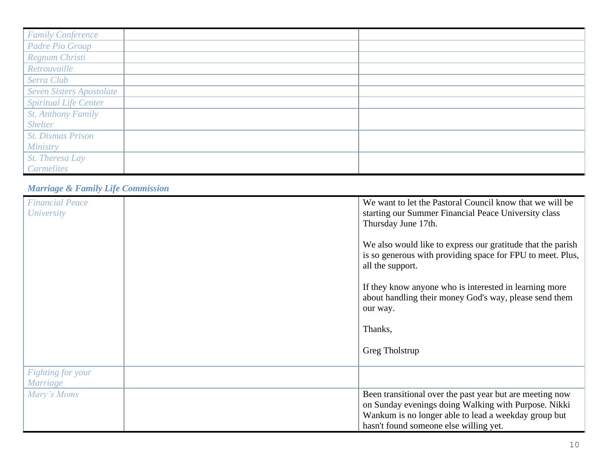| <b>Family Conference</b>        |  |
|---------------------------------|--|
| Padre Pio Group                 |  |
| Regnum Christi                  |  |
| Retrouvaille                    |  |
| Serra Club                      |  |
| <b>Seven Sisters Apostolate</b> |  |
| <b>Spiritual Life Center</b>    |  |
| <b>St. Anthony Family</b>       |  |
| <b>Shelter</b>                  |  |
| <b>St. Dismas Prison</b>        |  |
| <b>Ministry</b>                 |  |
| St. Theresa Lay                 |  |
| <b>Carmelites</b>               |  |

## *Marriage & Family Life Commission*

| <b>Financial Peace</b>   | We want to let the Pastoral Council know that we will be    |
|--------------------------|-------------------------------------------------------------|
| <b>University</b>        | starting our Summer Financial Peace University class        |
|                          | Thursday June 17th.                                         |
|                          |                                                             |
|                          |                                                             |
|                          | We also would like to express our gratitude that the parish |
|                          | is so generous with providing space for FPU to meet. Plus,  |
|                          | all the support.                                            |
|                          |                                                             |
|                          |                                                             |
|                          | If they know anyone who is interested in learning more      |
|                          | about handling their money God's way, please send them      |
|                          | our way.                                                    |
|                          |                                                             |
|                          | Thanks,                                                     |
|                          |                                                             |
|                          |                                                             |
|                          | Greg Tholstrup                                              |
|                          |                                                             |
| <b>Fighting for your</b> |                                                             |
| <b>Marriage</b>          |                                                             |
|                          |                                                             |
| Mary's Moms              | Been transitional over the past year but are meeting now    |
|                          | on Sunday evenings doing Walking with Purpose. Nikki        |
|                          | Wankum is no longer able to lead a weekday group but        |
|                          | hasn't found someone else willing yet.                      |
|                          |                                                             |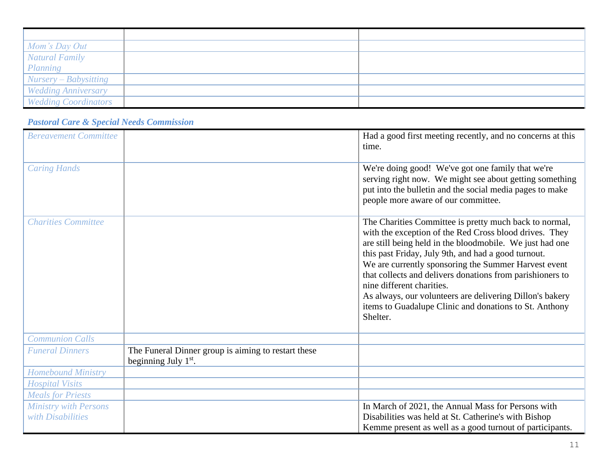| Mom's Day Out              |  |
|----------------------------|--|
| <b>Natural Family</b>      |  |
| Planning                   |  |
| Nursery – Babysitting      |  |
| <b>Wedding Anniversary</b> |  |
| Wedding Coordinators       |  |

# *Pastoral Care & Special Needs Commission*

| <b>Bereavement Committee</b> |                                                                               | Had a good first meeting recently, and no concerns at this<br>time.                                                                                                                                                                                                                                                                                                                                                                                                                                                     |
|------------------------------|-------------------------------------------------------------------------------|-------------------------------------------------------------------------------------------------------------------------------------------------------------------------------------------------------------------------------------------------------------------------------------------------------------------------------------------------------------------------------------------------------------------------------------------------------------------------------------------------------------------------|
| <b>Caring Hands</b>          |                                                                               | We're doing good! We've got one family that we're<br>serving right now. We might see about getting something<br>put into the bulletin and the social media pages to make<br>people more aware of our committee.                                                                                                                                                                                                                                                                                                         |
| <b>Charities Committee</b>   |                                                                               | The Charities Committee is pretty much back to normal,<br>with the exception of the Red Cross blood drives. They<br>are still being held in the bloodmobile. We just had one<br>this past Friday, July 9th, and had a good turnout.<br>We are currently sponsoring the Summer Harvest event<br>that collects and delivers donations from parishioners to<br>nine different charities.<br>As always, our volunteers are delivering Dillon's bakery<br>items to Guadalupe Clinic and donations to St. Anthony<br>Shelter. |
| <b>Communion Calls</b>       |                                                                               |                                                                                                                                                                                                                                                                                                                                                                                                                                                                                                                         |
| <b>Funeral Dinners</b>       | The Funeral Dinner group is aiming to restart these<br>beginning July $1st$ . |                                                                                                                                                                                                                                                                                                                                                                                                                                                                                                                         |
| <b>Homebound Ministry</b>    |                                                                               |                                                                                                                                                                                                                                                                                                                                                                                                                                                                                                                         |
| <b>Hospital Visits</b>       |                                                                               |                                                                                                                                                                                                                                                                                                                                                                                                                                                                                                                         |
| <b>Meals for Priests</b>     |                                                                               |                                                                                                                                                                                                                                                                                                                                                                                                                                                                                                                         |
| <b>Ministry with Persons</b> |                                                                               | In March of 2021, the Annual Mass for Persons with                                                                                                                                                                                                                                                                                                                                                                                                                                                                      |
| with Disabilities            |                                                                               | Disabilities was held at St. Catherine's with Bishop                                                                                                                                                                                                                                                                                                                                                                                                                                                                    |
|                              |                                                                               | Kemme present as well as a good turnout of participants.                                                                                                                                                                                                                                                                                                                                                                                                                                                                |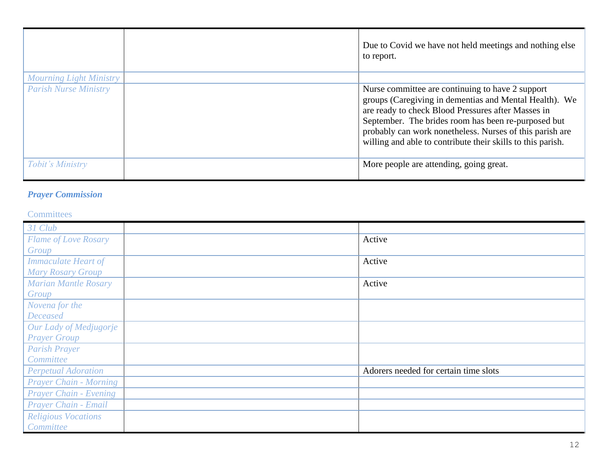|                                | Due to Covid we have not held meetings and nothing else<br>to report.                                                                                                                                                                                                                                                                              |
|--------------------------------|----------------------------------------------------------------------------------------------------------------------------------------------------------------------------------------------------------------------------------------------------------------------------------------------------------------------------------------------------|
| <b>Mourning Light Ministry</b> |                                                                                                                                                                                                                                                                                                                                                    |
| <b>Parish Nurse Ministry</b>   | Nurse committee are continuing to have 2 support<br>groups (Caregiving in dementias and Mental Health). We<br>are ready to check Blood Pressures after Masses in<br>September. The brides room has been re-purposed but<br>probably can work nonetheless. Nurses of this parish are<br>willing and able to contribute their skills to this parish. |
| Tobit's Ministry               | More people are attending, going great.                                                                                                                                                                                                                                                                                                            |

# *Prayer Commission*

### **Committees**

| 31 Club                       |                                       |
|-------------------------------|---------------------------------------|
| Flame of Love Rosary          | Active                                |
| Group                         |                                       |
| <b>Immaculate Heart of</b>    | Active                                |
| <b>Mary Rosary Group</b>      |                                       |
| <b>Marian Mantle Rosary</b>   | Active                                |
| Group                         |                                       |
| Novena for the                |                                       |
| <b>Deceased</b>               |                                       |
| Our Lady of Medjugorje        |                                       |
| <b>Prayer Group</b>           |                                       |
| <b>Parish Prayer</b>          |                                       |
| Committee                     |                                       |
| <b>Perpetual Adoration</b>    | Adorers needed for certain time slots |
| <b>Prayer Chain - Morning</b> |                                       |
| <b>Prayer Chain - Evening</b> |                                       |
| Prayer Chain - Email          |                                       |
| <b>Religious Vocations</b>    |                                       |
| Committee                     |                                       |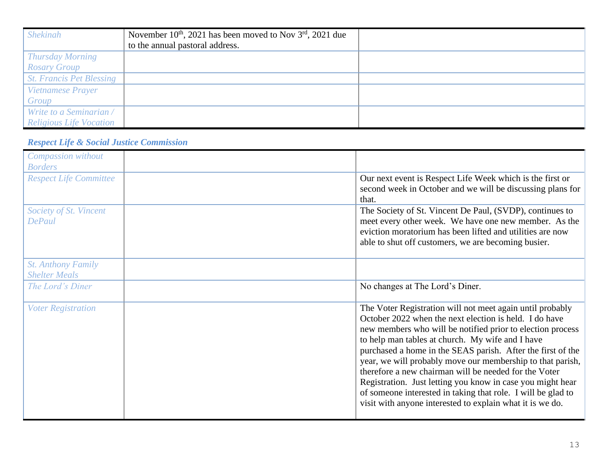| <b>Shekinah</b>                 | November $10^{th}$ , 2021 has been moved to Nov $3^{rd}$ , 2021 due |  |
|---------------------------------|---------------------------------------------------------------------|--|
|                                 | to the annual pastoral address.                                     |  |
| <b>Thursday Morning</b>         |                                                                     |  |
| <b>Rosary Group</b>             |                                                                     |  |
| <b>St. Francis Pet Blessing</b> |                                                                     |  |
| Vietnamese Prayer               |                                                                     |  |
| Group                           |                                                                     |  |
| Write to a Seminarian /         |                                                                     |  |
| <b>Religious Life Vocation</b>  |                                                                     |  |

# *Respect Life & Social Justice Commission*

| Compassion without                                |                                                                                                                                                                                                                                                                                                                                                                                                                                                                                                                                                                                                                        |
|---------------------------------------------------|------------------------------------------------------------------------------------------------------------------------------------------------------------------------------------------------------------------------------------------------------------------------------------------------------------------------------------------------------------------------------------------------------------------------------------------------------------------------------------------------------------------------------------------------------------------------------------------------------------------------|
| <b>Borders</b>                                    |                                                                                                                                                                                                                                                                                                                                                                                                                                                                                                                                                                                                                        |
| <b>Respect Life Committee</b>                     | Our next event is Respect Life Week which is the first or<br>second week in October and we will be discussing plans for<br>that.                                                                                                                                                                                                                                                                                                                                                                                                                                                                                       |
| Society of St. Vincent<br><b>DePaul</b>           | The Society of St. Vincent De Paul, (SVDP), continues to<br>meet every other week. We have one new member. As the<br>eviction moratorium has been lifted and utilities are now<br>able to shut off customers, we are becoming busier.                                                                                                                                                                                                                                                                                                                                                                                  |
| <b>St. Anthony Family</b><br><b>Shelter Meals</b> |                                                                                                                                                                                                                                                                                                                                                                                                                                                                                                                                                                                                                        |
| The Lord's Diner                                  | No changes at The Lord's Diner.                                                                                                                                                                                                                                                                                                                                                                                                                                                                                                                                                                                        |
| <b>Voter Registration</b>                         | The Voter Registration will not meet again until probably<br>October 2022 when the next election is held. I do have<br>new members who will be notified prior to election process<br>to help man tables at church. My wife and I have<br>purchased a home in the SEAS parish. After the first of the<br>year, we will probably move our membership to that parish,<br>therefore a new chairman will be needed for the Voter<br>Registration. Just letting you know in case you might hear<br>of someone interested in taking that role. I will be glad to<br>visit with anyone interested to explain what it is we do. |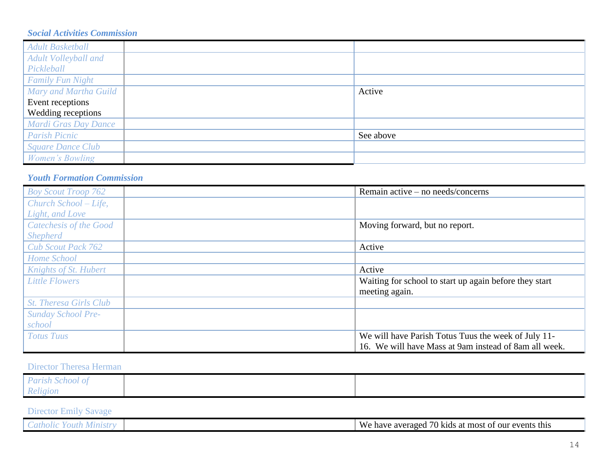## *Social Activities Commission*

| <b>Adult Basketball</b>  |           |
|--------------------------|-----------|
| Adult Volleyball and     |           |
| Pickleball               |           |
| <b>Family Fun Night</b>  |           |
| Mary and Martha Guild    | Active    |
| Event receptions         |           |
| Wedding receptions       |           |
| Mardi Gras Day Dance     |           |
| <b>Parish Picnic</b>     | See above |
| <b>Square Dance Club</b> |           |
| Women's Bowling          |           |

# *Youth Formation Commission*

| <b>Boy Scout Troop 762</b>    | Remain active – no needs/concerns                      |
|-------------------------------|--------------------------------------------------------|
| Church School – Life,         |                                                        |
| Light, and Love               |                                                        |
| Catechesis of the Good        | Moving forward, but no report.                         |
| <b>Shepherd</b>               |                                                        |
| <b>Cub Scout Pack 762</b>     | Active                                                 |
| Home School                   |                                                        |
| Knights of St. Hubert         | Active                                                 |
| <b>Little Flowers</b>         | Waiting for school to start up again before they start |
|                               | meeting again.                                         |
| <b>St. Theresa Girls Club</b> |                                                        |
| <b>Sunday School Pre-</b>     |                                                        |
| school                        |                                                        |
| <b>Totus Tuus</b>             | We will have Parish Totus Tuus the week of July 11-    |
|                               | 16. We will have Mass at 9am instead of 8am all week.  |

### Director Theresa Herman

| Parish School of |  |
|------------------|--|
| Religion         |  |

# Director Emily Savage

| $\overline{\phantom{a}}$<br>$\mathbf{X}$<br>our<br>this<br>averaged<br>events<br>have<br>s at most<br>/U K1dS<br>ОI |  |  |
|---------------------------------------------------------------------------------------------------------------------|--|--|
|                                                                                                                     |  |  |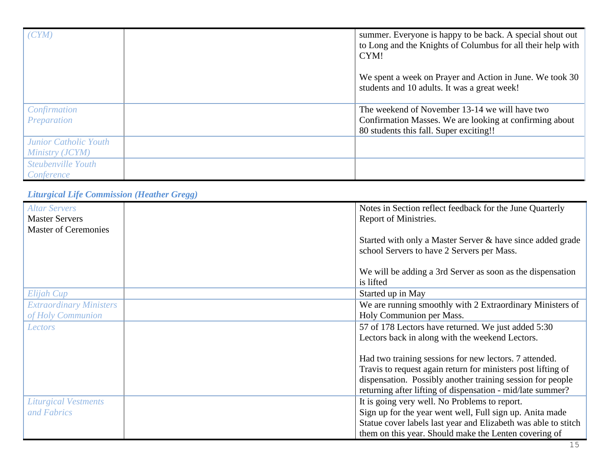| (CYM)                                    | summer. Everyone is happy to be back. A special shout out<br>to Long and the Knights of Columbus for all their help with<br>CYM!                     |
|------------------------------------------|------------------------------------------------------------------------------------------------------------------------------------------------------|
|                                          | We spent a week on Prayer and Action in June. We took 30<br>students and 10 adults. It was a great week!                                             |
| Confirmation<br>Preparation              | The weekend of November 13-14 we will have two<br>Confirmation Masses. We are looking at confirming about<br>80 students this fall. Super exciting!! |
| Junior Catholic Youth<br>Ministry (JCYM) |                                                                                                                                                      |
| Steubenville Youth<br>Conference         |                                                                                                                                                      |

*Liturgical Life Commission (Heather Gregg)*

| <b>Altar Servers</b><br><b>Master Servers</b> | Notes in Section reflect feedback for the June Quarterly<br>Report of Ministries. |
|-----------------------------------------------|-----------------------------------------------------------------------------------|
| <b>Master of Ceremonies</b>                   |                                                                                   |
|                                               | Started with only a Master Server & have since added grade                        |
|                                               | school Servers to have 2 Servers per Mass.                                        |
|                                               |                                                                                   |
|                                               | We will be adding a 3rd Server as soon as the dispensation                        |
|                                               | is lifted                                                                         |
| Elijah Cup                                    | Started up in May                                                                 |
| <b>Extraordinary Ministers</b>                | We are running smoothly with 2 Extraordinary Ministers of                         |
| of Holy Communion                             | Holy Communion per Mass.                                                          |
| Lectors                                       | 57 of 178 Lectors have returned. We just added 5:30                               |
|                                               | Lectors back in along with the weekend Lectors.                                   |
|                                               |                                                                                   |
|                                               | Had two training sessions for new lectors. 7 attended.                            |
|                                               | Travis to request again return for ministers post lifting of                      |
|                                               | dispensation. Possibly another training session for people                        |
|                                               | returning after lifting of dispensation - mid/late summer?                        |
| <b>Liturgical Vestments</b>                   | It is going very well. No Problems to report.                                     |
| and Fabrics                                   | Sign up for the year went well, Full sign up. Anita made                          |
|                                               | Statue cover labels last year and Elizabeth was able to stitch                    |
|                                               | them on this year. Should make the Lenten covering of                             |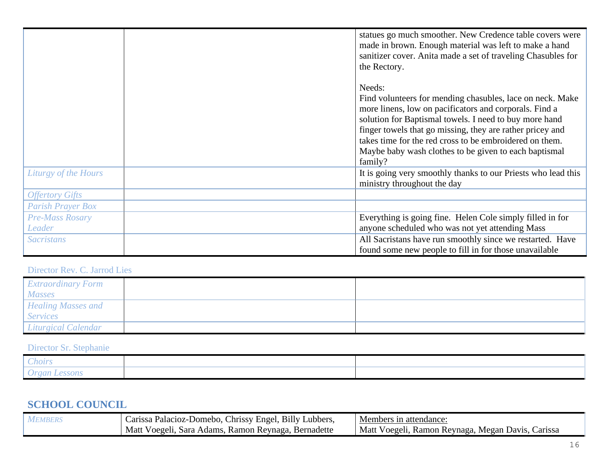|                          | statues go much smoother. New Credence table covers were<br>made in brown. Enough material was left to make a hand<br>sanitizer cover. Anita made a set of traveling Chasubles for<br>the Rectory.                                                                                                                                                                                  |
|--------------------------|-------------------------------------------------------------------------------------------------------------------------------------------------------------------------------------------------------------------------------------------------------------------------------------------------------------------------------------------------------------------------------------|
|                          | Needs:<br>Find volunteers for mending chasubles, lace on neck. Make<br>more linens, low on pacificators and corporals. Find a<br>solution for Baptismal towels. I need to buy more hand<br>finger towels that go missing, they are rather pricey and<br>takes time for the red cross to be embroidered on them.<br>Maybe baby wash clothes to be given to each baptismal<br>family? |
| Liturgy of the Hours     | It is going very smoothly thanks to our Priests who lead this<br>ministry throughout the day                                                                                                                                                                                                                                                                                        |
| <b>Offertory Gifts</b>   |                                                                                                                                                                                                                                                                                                                                                                                     |
| <b>Parish Prayer Box</b> |                                                                                                                                                                                                                                                                                                                                                                                     |
| <b>Pre-Mass Rosary</b>   | Everything is going fine. Helen Cole simply filled in for                                                                                                                                                                                                                                                                                                                           |
| Leader                   | anyone scheduled who was not yet attending Mass                                                                                                                                                                                                                                                                                                                                     |
| <b>Sacristans</b>        | All Sacristans have run smoothly since we restarted. Have                                                                                                                                                                                                                                                                                                                           |
|                          | found some new people to fill in for those unavailable                                                                                                                                                                                                                                                                                                                              |

# Director Rev. C. Jarrod Lies

| <i><b>Extraordinary Form</b></i> |  |
|----------------------------------|--|
| <b>Masses</b>                    |  |
| <b>Healing Masses and</b>        |  |
| <b>Services</b>                  |  |
| Liturgical Calendar              |  |

# Director Sr. Stephanie

| hoirs |  |
|-------|--|
| .     |  |

# **SCHOOL COUNCIL**

| <b>MEMBERS</b> | Carissa Palacioz-Domebo, Chrissy Engel, Billy Lubbers, | Members in attendance:                            |
|----------------|--------------------------------------------------------|---------------------------------------------------|
|                | Matt Voegeli, Sara Adams, Ramon Reynaga, Bernadette    | Matt Voegeli, Ramon Reynaga, Megan Davis, Carissa |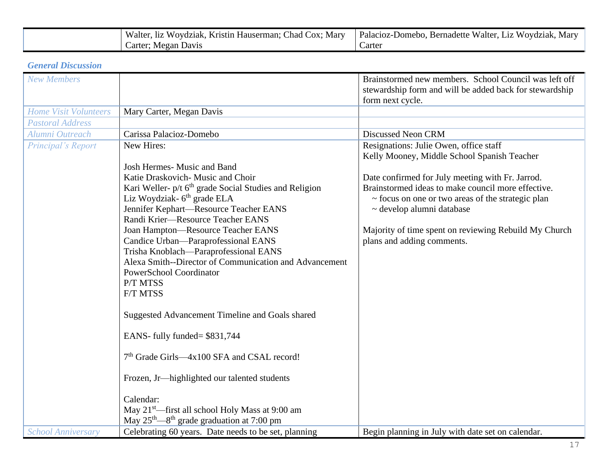| Chad<br>Walter,<br>COX:<br>Marv<br>Woydziak<br>Kristin<br>Hauserman:<br>11Z | Walter.<br>Palacioz-Domebo.<br>Wovdziak.<br><b>Bernadette</b><br>LiZ<br>. Mar |
|-----------------------------------------------------------------------------|-------------------------------------------------------------------------------|
| Megan<br>arter:<br>Davis                                                    | Carter                                                                        |

# *General Discussion*

| <b>New Members</b>           |                                                                                                 | Brainstormed new members. School Council was left off<br>stewardship form and will be added back for stewardship |
|------------------------------|-------------------------------------------------------------------------------------------------|------------------------------------------------------------------------------------------------------------------|
|                              |                                                                                                 | form next cycle.                                                                                                 |
| <b>Home Visit Volunteers</b> | Mary Carter, Megan Davis                                                                        |                                                                                                                  |
| <b>Pastoral Address</b>      |                                                                                                 |                                                                                                                  |
| Alumni Outreach              | Carissa Palacioz-Domebo                                                                         | <b>Discussed Neon CRM</b>                                                                                        |
| Principal's Report           | New Hires:                                                                                      | Resignations: Julie Owen, office staff<br>Kelly Mooney, Middle School Spanish Teacher                            |
|                              | <b>Josh Hermes- Music and Band</b>                                                              |                                                                                                                  |
|                              | Katie Draskovich- Music and Choir                                                               | Date confirmed for July meeting with Fr. Jarrod.                                                                 |
|                              | Kari Weller- p/t 6 <sup>th</sup> grade Social Studies and Religion                              | Brainstormed ideas to make council more effective.                                                               |
|                              | Liz Woydziak- 6 <sup>th</sup> grade ELA                                                         | ~ focus on one or two areas of the strategic plan                                                                |
|                              | Jennifer Kephart-Resource Teacher EANS                                                          | ~ develop alumni database                                                                                        |
|                              | Randi Krier-Resource Teacher EANS                                                               |                                                                                                                  |
|                              | Joan Hampton-Resource Teacher EANS                                                              | Majority of time spent on reviewing Rebuild My Church                                                            |
|                              | Candice Urban-Paraprofessional EANS                                                             | plans and adding comments.                                                                                       |
|                              | Trisha Knoblach-Paraprofessional EANS<br>Alexa Smith--Director of Communication and Advancement |                                                                                                                  |
|                              | PowerSchool Coordinator                                                                         |                                                                                                                  |
|                              | P/T MTSS                                                                                        |                                                                                                                  |
|                              | F/T MTSS                                                                                        |                                                                                                                  |
|                              |                                                                                                 |                                                                                                                  |
|                              | Suggested Advancement Timeline and Goals shared                                                 |                                                                                                                  |
|                              | EANS- fully funded= \$831,744                                                                   |                                                                                                                  |
|                              | 7 <sup>th</sup> Grade Girls—4x100 SFA and CSAL record!                                          |                                                                                                                  |
|                              | Frozen, Jr—highlighted our talented students                                                    |                                                                                                                  |
|                              | Calendar:                                                                                       |                                                                                                                  |
|                              | May 21 <sup>st</sup> —first all school Holy Mass at 9:00 am                                     |                                                                                                                  |
|                              | May 25 <sup>th</sup> —8 <sup>th</sup> grade graduation at 7:00 pm                               |                                                                                                                  |
| <b>School Anniversary</b>    | Celebrating 60 years. Date needs to be set, planning                                            | Begin planning in July with date set on calendar.                                                                |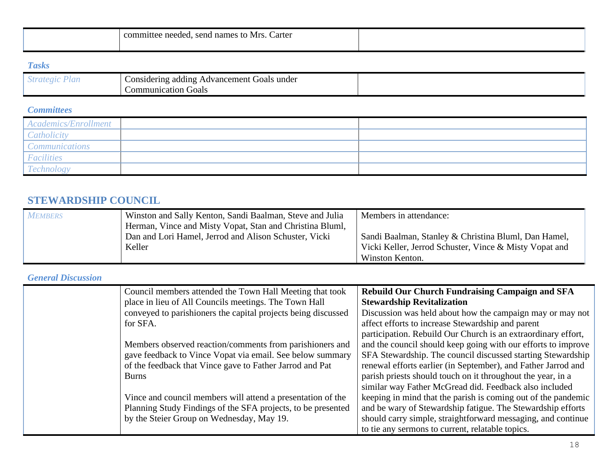| Carter<br>committee<br>names to<br>Mrs.<br>needed.<br>send |  |
|------------------------------------------------------------|--|
|                                                            |  |

# *Tasks*

| $\sim$ $\alpha$ $\epsilon$ .<br>$\sim$ 1.1 $\sim$<br>$\cdot$ , $\cdot$ , $\cdot$ , $\cdot$ | .<br>Advancement<br>under<br>Goals<br>adding<br>$\sim$ onsidering $\sim$ |  |
|--------------------------------------------------------------------------------------------|--------------------------------------------------------------------------|--|
|                                                                                            | Goals<br>Communication                                                   |  |

## *Committees*

| Academics/Enrollment             |  |
|----------------------------------|--|
| <b><i><u>Catholicity</u></i></b> |  |
| <i>Communications</i>            |  |
| Facilities                       |  |
| I'echnology                      |  |

# **STEWARDSHIP COUNCIL**

| <b>MEMBERS</b> | Winston and Sally Kenton, Sandi Baalman, Steve and Julia | Members in attendance:                                 |
|----------------|----------------------------------------------------------|--------------------------------------------------------|
|                | Herman, Vince and Misty Vopat, Stan and Christina Bluml, |                                                        |
|                | Dan and Lori Hamel, Jerrod and Alison Schuster, Vicki    | Sandi Baalman, Stanley & Christina Bluml, Dan Hamel,   |
|                | Keller                                                   | Vicki Keller, Jerrod Schuster, Vince & Misty Vopat and |
|                |                                                          | Winston Kenton.                                        |

# *General Discussion*

| Council members attended the Town Hall Meeting that took      | <b>Rebuild Our Church Fundraising Campaign and SFA</b>        |
|---------------------------------------------------------------|---------------------------------------------------------------|
| place in lieu of All Councils meetings. The Town Hall         | <b>Stewardship Revitalization</b>                             |
| conveyed to parishioners the capital projects being discussed | Discussion was held about how the campaign may or may not     |
| for SFA.                                                      | affect efforts to increase Stewardship and parent             |
|                                                               | participation. Rebuild Our Church is an extraordinary effort, |
| Members observed reaction/comments from parishioners and      | and the council should keep going with our efforts to improve |
| gave feedback to Vince Vopat via email. See below summary     | SFA Stewardship. The council discussed starting Stewardship   |
| of the feedback that Vince gave to Father Jarrod and Pat      | renewal efforts earlier (in September), and Father Jarrod and |
| <b>Burns</b>                                                  | parish priests should touch on it throughout the year, in a   |
|                                                               | similar way Father McGread did. Feedback also included        |
| Vince and council members will attend a presentation of the   | keeping in mind that the parish is coming out of the pandemic |
| Planning Study Findings of the SFA projects, to be presented  | and be wary of Stewardship fatigue. The Stewardship efforts   |
| by the Steier Group on Wednesday, May 19.                     | should carry simple, straightforward messaging, and continue  |
|                                                               | to tie any sermons to current, relatable topics.              |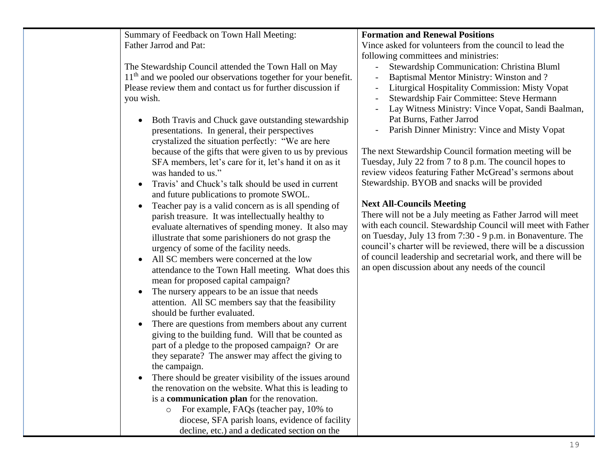Summary of Feedback on Town Hall Meeting: Father Jarrod and Pat:

The Stewardship Council attended the Town Hall on May 11<sup>th</sup> and we pooled our observations together for your benefit. Please review them and contact us for further discussion if you wish.

- Both Travis and Chuck gave outstanding stewardship presentations. In general, their perspectives crystalized the situation perfectly: "We are here because of the gifts that were given to us by previous SFA members, let's care for it, let's hand it on as it was handed to us."
- Travis' and Chuck's talk should be used in current and future publications to promote SWOL.
- Teacher pay is a valid concern as is all spending of parish treasure. It was intellectually healthy to evaluate alternatives of spending money. It also may illustrate that some parishioners do not grasp the urgency of some of the facility needs.
- All SC members were concerned at the low attendance to the Town Hall meeting. What does this mean for proposed capital campaign?
- The nursery appears to be an issue that needs attention. All SC members say that the feasibility should be further evaluated.
- There are questions from members about any current giving to the building fund. Will that be counted as part of a pledge to the proposed campaign? Or are they separate? The answer may affect the giving to the campaign.
- There should be greater visibility of the issues around the renovation on the website. What this is leading to is a **communication plan** for the renovation.
	- o For example, FAQs (teacher pay, 10% to diocese, SFA parish loans, evidence of facility decline, etc.) and a dedicated section on the

# **Formation and Renewal Positions**

Vince asked for volunteers from the council to lead the following committees and ministries:

- Stewardship Communication: Christina Bluml
- Baptismal Mentor Ministry: Winston and ?
- Liturgical Hospitality Commission: Misty Vopat
- Stewardship Fair Committee: Steve Hermann
- Lay Witness Ministry: Vince Vopat, Sandi Baalman, Pat Burns, Father Jarrod
- Parish Dinner Ministry: Vince and Misty Vopat

The next Stewardship Council formation meeting will be Tuesday, July 22 from 7 to 8 p.m. The council hopes to review videos featuring Father McGread's sermons about Stewardship. BYOB and snacks will be provided

# **Next All-Councils Meeting**

There will not be a July meeting as Father Jarrod will meet with each council. Stewardship Council will meet with Father on Tuesday, July 13 from 7:30 - 9 p.m. in Bonaventure. The council's charter will be reviewed, there will be a discussion of council leadership and secretarial work, and there will be an open discussion about any needs of the council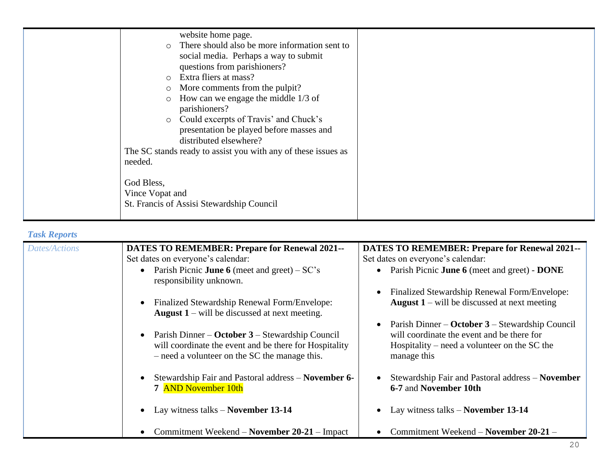|                 | website home page.                                            |  |
|-----------------|---------------------------------------------------------------|--|
| $\circ$         | There should also be more information sent to                 |  |
|                 | social media. Perhaps a way to submit                         |  |
|                 | questions from parishioners?                                  |  |
| $\circ$         | Extra fliers at mass?                                         |  |
| $\circ$         | More comments from the pulpit?                                |  |
| $\circ$         | How can we engage the middle $1/3$ of                         |  |
|                 | parishioners?                                                 |  |
| $\circ$         | Could excerpts of Travis' and Chuck's                         |  |
|                 | presentation be played before masses and                      |  |
|                 | distributed elsewhere?                                        |  |
|                 | The SC stands ready to assist you with any of these issues as |  |
| needed.         |                                                               |  |
|                 |                                                               |  |
| God Bless,      |                                                               |  |
| Vince Vopat and |                                                               |  |
|                 | St. Francis of Assisi Stewardship Council                     |  |
|                 |                                                               |  |

#### *Task Reports*

| TUSK REPOLIS         |                                                                                                                                                            |                                                                                                           |
|----------------------|------------------------------------------------------------------------------------------------------------------------------------------------------------|-----------------------------------------------------------------------------------------------------------|
| <b>Dates/Actions</b> | <b>DATES TO REMEMBER: Prepare for Renewal 2021--</b>                                                                                                       | <b>DATES TO REMEMBER: Prepare for Renewal 2021--</b>                                                      |
|                      | Set dates on everyone's calendar:                                                                                                                          | Set dates on everyone's calendar:                                                                         |
|                      | • Parish Picnic <b>June 6</b> (meet and greet) $-SC's$<br>responsibility unknown.                                                                          | • Parish Picnic June 6 (meet and greet) - DONE                                                            |
|                      |                                                                                                                                                            | Finalized Stewardship Renewal Form/Envelope:                                                              |
|                      | Finalized Stewardship Renewal Form/Envelope:<br><b>August 1</b> – will be discussed at next meeting.                                                       | <b>August 1</b> – will be discussed at next meeting                                                       |
|                      |                                                                                                                                                            | Parish Dinner – October 3 – Stewardship Council                                                           |
|                      | Parish Dinner – October 3 – Stewardship Council<br>will coordinate the event and be there for Hospitality<br>- need a volunteer on the SC the manage this. | will coordinate the event and be there for<br>Hospitality – need a volunteer on the SC the<br>manage this |
|                      | Stewardship Fair and Pastoral address – November 6-<br>7 AND November 10th                                                                                 | Stewardship Fair and Pastoral address - November<br>6-7 and November 10th                                 |
|                      | Lay witness talks $-$ November 13-14                                                                                                                       | Lay witness talks $-$ November 13-14                                                                      |
|                      | Commitment Weekend – November 20-21 – Impact                                                                                                               | Commitment Weekend – November 20-21 –                                                                     |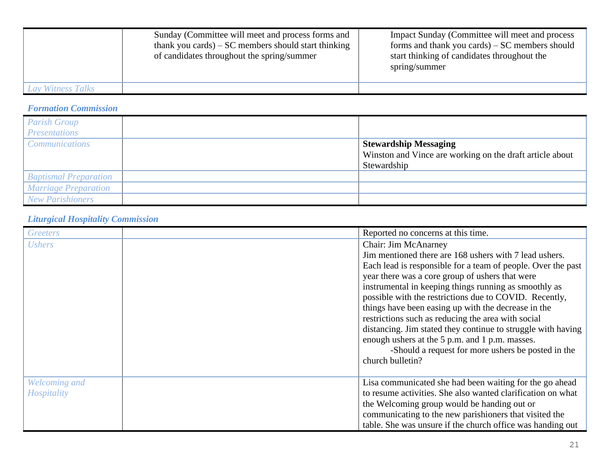|                   | Sunday (Committee will meet and process forms and<br>thank you cards) $-SC$ members should start thinking<br>of candidates throughout the spring/summer | Impact Sunday (Committee will meet and process<br>forms and thank you cards) $-SC$ members should<br>start thinking of candidates throughout the<br>spring/summer |
|-------------------|---------------------------------------------------------------------------------------------------------------------------------------------------------|-------------------------------------------------------------------------------------------------------------------------------------------------------------------|
| Lay Witness Talks |                                                                                                                                                         |                                                                                                                                                                   |

# *Formation Commission*

| <b>Parish Group</b><br><b>Presentations</b> |                                                                                                         |
|---------------------------------------------|---------------------------------------------------------------------------------------------------------|
| <b>Communications</b>                       | <b>Stewardship Messaging</b><br>Winston and Vince are working on the draft article about<br>Stewardship |
| <b>Baptismal Preparation</b>                |                                                                                                         |
| <b>Marriage Preparation</b>                 |                                                                                                         |
| <b>New Parishioners</b>                     |                                                                                                         |

# *Liturgical Hospitality Commission*

| Greeters                     | Reported no concerns at this time.                                                                                                                                                                                                                                                                                                                                                                                                                                                                                                                                                                                            |
|------------------------------|-------------------------------------------------------------------------------------------------------------------------------------------------------------------------------------------------------------------------------------------------------------------------------------------------------------------------------------------------------------------------------------------------------------------------------------------------------------------------------------------------------------------------------------------------------------------------------------------------------------------------------|
| <b>Ushers</b>                | Chair: Jim McAnarney<br>Jim mentioned there are 168 ushers with 7 lead ushers.<br>Each lead is responsible for a team of people. Over the past<br>year there was a core group of ushers that were<br>instrumental in keeping things running as smoothly as<br>possible with the restrictions due to COVID. Recently,<br>things have been easing up with the decrease in the<br>restrictions such as reducing the area with social<br>distancing. Jim stated they continue to struggle with having<br>enough ushers at the 5 p.m. and 1 p.m. masses.<br>-Should a request for more ushers be posted in the<br>church bulletin? |
| Welcoming and<br>Hospitality | Lisa communicated she had been waiting for the go ahead<br>to resume activities. She also wanted clarification on what<br>the Welcoming group would be handing out or<br>communicating to the new parishioners that visited the<br>table. She was unsure if the church office was handing out                                                                                                                                                                                                                                                                                                                                 |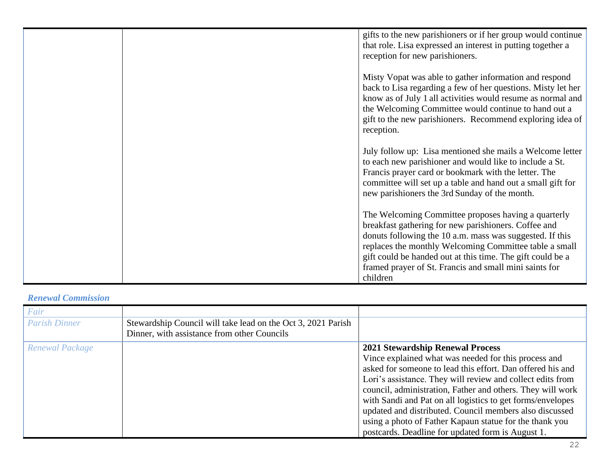| gifts to the new parishioners or if her group would continue<br>that role. Lisa expressed an interest in putting together a<br>reception for new parishioners.                                                                                                                                                                                                        |
|-----------------------------------------------------------------------------------------------------------------------------------------------------------------------------------------------------------------------------------------------------------------------------------------------------------------------------------------------------------------------|
| Misty Vopat was able to gather information and respond<br>back to Lisa regarding a few of her questions. Misty let her<br>know as of July 1 all activities would resume as normal and<br>the Welcoming Committee would continue to hand out a<br>gift to the new parishioners. Recommend exploring idea of<br>reception.                                              |
| July follow up: Lisa mentioned she mails a Welcome letter<br>to each new parishioner and would like to include a St.<br>Francis prayer card or bookmark with the letter. The<br>committee will set up a table and hand out a small gift for<br>new parishioners the 3rd Sunday of the month.                                                                          |
| The Welcoming Committee proposes having a quarterly<br>breakfast gathering for new parishioners. Coffee and<br>donuts following the 10 a.m. mass was suggested. If this<br>replaces the monthly Welcoming Committee table a small<br>gift could be handed out at this time. The gift could be a<br>framed prayer of St. Francis and small mini saints for<br>children |

# *Renewal Commission*

| <b>Parish Dinner</b><br>Stewardship Council will take lead on the Oct 3, 2021 Parish<br>Dinner, with assistance from other Councils                                                                                                                                                                                                                                                                                                                                                                                                                   |  |
|-------------------------------------------------------------------------------------------------------------------------------------------------------------------------------------------------------------------------------------------------------------------------------------------------------------------------------------------------------------------------------------------------------------------------------------------------------------------------------------------------------------------------------------------------------|--|
| <b>2021 Stewardship Renewal Process</b><br>Renewal Package<br>Vince explained what was needed for this process and<br>asked for someone to lead this effort. Dan offered his and<br>Lori's assistance. They will review and collect edits from<br>council, administration, Father and others. They will work<br>with Sandi and Pat on all logistics to get forms/envelopes<br>updated and distributed. Council members also discussed<br>using a photo of Father Kapaun statue for the thank you<br>postcards. Deadline for updated form is August 1. |  |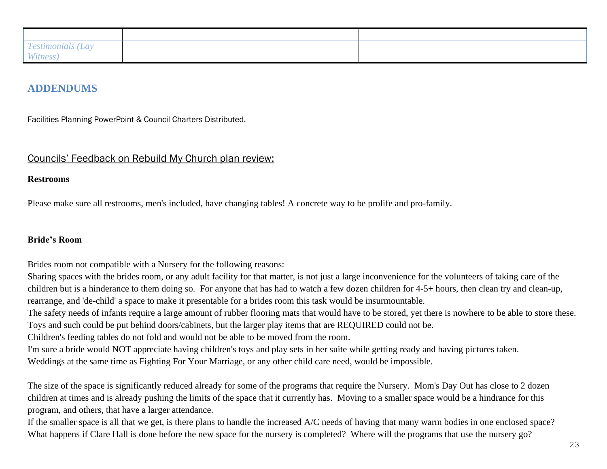| $\overline{1}$<br><i>Testimonials</i><br>Lay |  |
|----------------------------------------------|--|
| Witness)                                     |  |

# **ADDENDUMS**

Facilities Planning PowerPoint & Council Charters Distributed.

### Councils' Feedback on Rebuild My Church plan review:

#### **Restrooms**

Please make sure all restrooms, men's included, have changing tables! A concrete way to be prolife and pro-family.

#### **Bride's Room**

Brides room not compatible with a Nursery for the following reasons:

Sharing spaces with the brides room, or any adult facility for that matter, is not just a large inconvenience for the volunteers of taking care of the children but is a hinderance to them doing so. For anyone that has had to watch a few dozen children for 4-5+ hours, then clean try and clean-up, rearrange, and 'de-child' a space to make it presentable for a brides room this task would be insurmountable.

The safety needs of infants require a large amount of rubber flooring mats that would have to be stored, yet there is nowhere to be able to store these. Toys and such could be put behind doors/cabinets, but the larger play items that are REQUIRED could not be.

Children's feeding tables do not fold and would not be able to be moved from the room.

I'm sure a bride would NOT appreciate having children's toys and play sets in her suite while getting ready and having pictures taken.

Weddings at the same time as Fighting For Your Marriage, or any other child care need, would be impossible.

The size of the space is significantly reduced already for some of the programs that require the Nursery. Mom's Day Out has close to 2 dozen children at times and is already pushing the limits of the space that it currently has. Moving to a smaller space would be a hindrance for this program, and others, that have a larger attendance.

If the smaller space is all that we get, is there plans to handle the increased A/C needs of having that many warm bodies in one enclosed space? What happens if Clare Hall is done before the new space for the nursery is completed? Where will the programs that use the nursery go?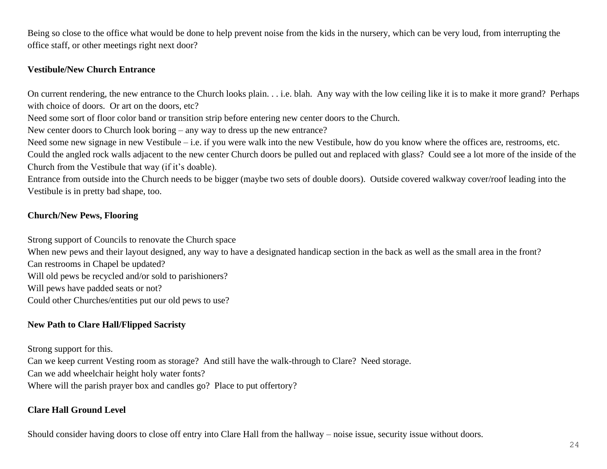Being so close to the office what would be done to help prevent noise from the kids in the nursery, which can be very loud, from interrupting the office staff, or other meetings right next door?

#### **Vestibule/New Church Entrance**

On current rendering, the new entrance to the Church looks plain. . . i.e. blah. Any way with the low ceiling like it is to make it more grand? Perhaps with choice of doors. Or art on the doors, etc?

Need some sort of floor color band or transition strip before entering new center doors to the Church.

New center doors to Church look boring – any way to dress up the new entrance?

Need some new signage in new Vestibule – i.e. if you were walk into the new Vestibule, how do you know where the offices are, restrooms, etc.

Could the angled rock walls adjacent to the new center Church doors be pulled out and replaced with glass? Could see a lot more of the inside of the Church from the Vestibule that way (if it's doable).

Entrance from outside into the Church needs to be bigger (maybe two sets of double doors). Outside covered walkway cover/roof leading into the Vestibule is in pretty bad shape, too.

### **Church/New Pews, Flooring**

Strong support of Councils to renovate the Church space

When new pews and their layout designed, any way to have a designated handicap section in the back as well as the small area in the front?

Can restrooms in Chapel be updated?

Will old pews be recycled and/or sold to parishioners?

Will pews have padded seats or not?

Could other Churches/entities put our old pews to use?

# **New Path to Clare Hall/Flipped Sacristy**

Strong support for this. Can we keep current Vesting room as storage? And still have the walk-through to Clare? Need storage. Can we add wheelchair height holy water fonts? Where will the parish prayer box and candles go? Place to put offertory?

# **Clare Hall Ground Level**

Should consider having doors to close off entry into Clare Hall from the hallway – noise issue, security issue without doors.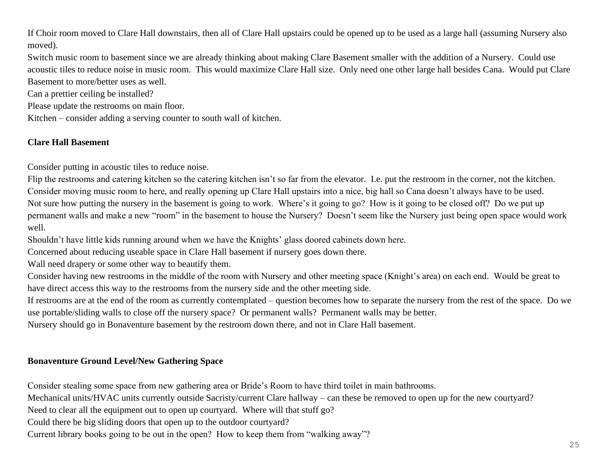If Choir room moved to Clare Hall downstairs, then all of Clare Hall upstairs could be opened up to be used as a large hall (assuming Nursery also moved).

Switch music room to basement since we are already thinking about making Clare Basement smaller with the addition of a Nursery. Could use acoustic tiles to reduce noise in music room. This would maximize Clare Hall size. Only need one other large hall besides Cana. Would put Clare Basement to more/better uses as well.

Can a prettier ceiling be installed?

Please update the restrooms on main floor.

Kitchen – consider adding a serving counter to south wall of kitchen.

# **Clare Hall Basement**

Consider putting in acoustic tiles to reduce noise.

Flip the restrooms and catering kitchen so the catering kitchen isn't so far from the elevator. I.e. put the restroom in the corner, not the kitchen. Consider moving music room to here, and really opening up Clare Hall upstairs into a nice, big hall so Cana doesn't always have to be used. Not sure how putting the nursery in the basement is going to work. Where's it going to go? How is it going to be closed off? Do we put up permanent walls and make a new "room" in the basement to house the Nursery? Doesn't seem like the Nursery just being open space would work well.

Shouldn't have little kids running around when we have the Knights' glass doored cabinets down here.

Concerned about reducing useable space in Clare Hall basement if nursery goes down there.

Wall need drapery or some other way to beautify them.

Consider having new restrooms in the middle of the room with Nursery and other meeting space (Knight's area) on each end. Would be great to have direct access this way to the restrooms from the nursery side and the other meeting side.

If restrooms are at the end of the room as currently contemplated – question becomes how to separate the nursery from the rest of the space. Do we use portable/sliding walls to close off the nursery space? Or permanent walls? Permanent walls may be better.

Nursery should go in Bonaventure basement by the restroom down there, and not in Clare Hall basement.

# **Bonaventure Ground Level/New Gathering Space**

Consider stealing some space from new gathering area or Bride's Room to have third toilet in main bathrooms.

Mechanical units/HVAC units currently outside Sacristy/current Clare hallway – can these be removed to open up for the new courtyard?

Need to clear all the equipment out to open up courtyard. Where will that stuff go?

Could there be big sliding doors that open up to the outdoor courtyard?

Current library books going to be out in the open? How to keep them from "walking away"?